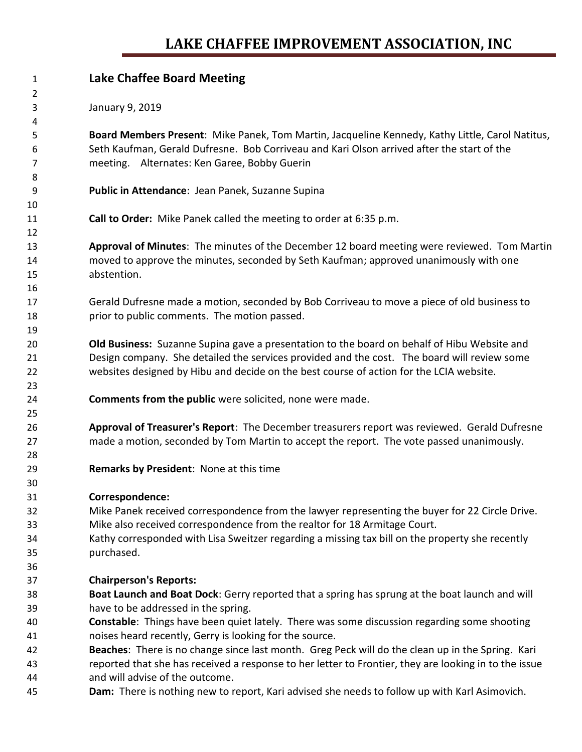## **LAKE CHAFFEE IMPROVEMENT ASSOCIATION, INC**

| $\mathbf{1}$   | <b>Lake Chaffee Board Meeting</b>                                                                     |
|----------------|-------------------------------------------------------------------------------------------------------|
| $\overline{2}$ |                                                                                                       |
| 3<br>4         | January 9, 2019                                                                                       |
| 5              | Board Members Present: Mike Panek, Tom Martin, Jacqueline Kennedy, Kathy Little, Carol Natitus,       |
| 6              | Seth Kaufman, Gerald Dufresne. Bob Corriveau and Kari Olson arrived after the start of the            |
| 7              | meeting. Alternates: Ken Garee, Bobby Guerin                                                          |
| 8              |                                                                                                       |
| 9              | Public in Attendance: Jean Panek, Suzanne Supina                                                      |
| 10             |                                                                                                       |
| 11             | Call to Order: Mike Panek called the meeting to order at 6:35 p.m.                                    |
| 12             |                                                                                                       |
| 13             | Approval of Minutes: The minutes of the December 12 board meeting were reviewed. Tom Martin           |
| 14             | moved to approve the minutes, seconded by Seth Kaufman; approved unanimously with one                 |
| 15             | abstention.                                                                                           |
| 16             |                                                                                                       |
| 17             | Gerald Dufresne made a motion, seconded by Bob Corriveau to move a piece of old business to           |
| 18             | prior to public comments. The motion passed.                                                          |
| 19             |                                                                                                       |
| 20             | <b>Old Business:</b> Suzanne Supina gave a presentation to the board on behalf of Hibu Website and    |
| 21             | Design company. She detailed the services provided and the cost. The board will review some           |
| 22             | websites designed by Hibu and decide on the best course of action for the LCIA website.               |
| 23             |                                                                                                       |
| 24             | Comments from the public were solicited, none were made.                                              |
| 25             |                                                                                                       |
| 26             | Approval of Treasurer's Report: The December treasurers report was reviewed. Gerald Dufresne          |
| 27             | made a motion, seconded by Tom Martin to accept the report. The vote passed unanimously.              |
| 28             |                                                                                                       |
| 29             | Remarks by President: None at this time                                                               |
| 30             |                                                                                                       |
| 31             | Correspondence:                                                                                       |
| 32             | Mike Panek received correspondence from the lawyer representing the buyer for 22 Circle Drive.        |
| 33             | Mike also received correspondence from the realtor for 18 Armitage Court.                             |
| 34             | Kathy corresponded with Lisa Sweitzer regarding a missing tax bill on the property she recently       |
| 35             | purchased.                                                                                            |
| 36             |                                                                                                       |
| 37             | <b>Chairperson's Reports:</b>                                                                         |
| 38             | Boat Launch and Boat Dock: Gerry reported that a spring has sprung at the boat launch and will        |
| 39             | have to be addressed in the spring.                                                                   |
| 40             | <b>Constable:</b> Things have been quiet lately. There was some discussion regarding some shooting    |
| 41             | noises heard recently, Gerry is looking for the source.                                               |
| 42             | Beaches: There is no change since last month. Greg Peck will do the clean up in the Spring. Kari      |
| 43             | reported that she has received a response to her letter to Frontier, they are looking in to the issue |
| 44             | and will advise of the outcome.                                                                       |
| 45             | Dam: There is nothing new to report, Kari advised she needs to follow up with Karl Asimovich.         |
|                |                                                                                                       |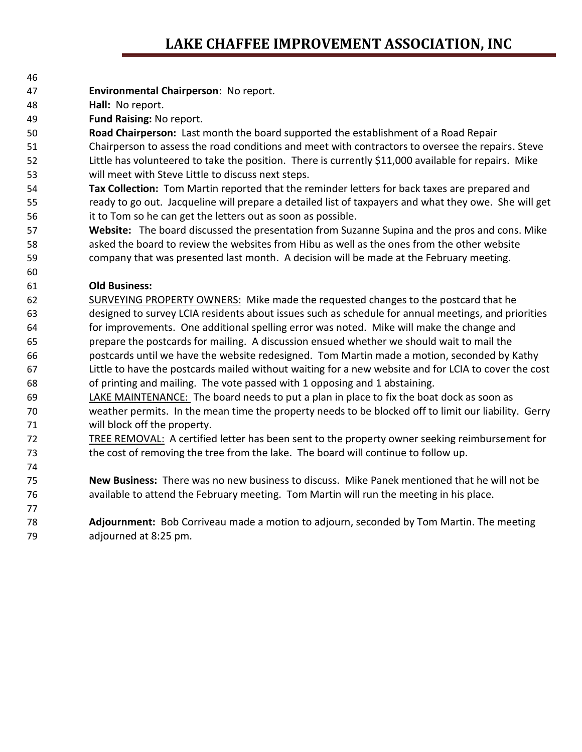## **LAKE CHAFFEE IMPROVEMENT ASSOCIATION, INC**

- **Environmental Chairperson**: No report.
- **Hall:** No report.
- **Fund Raising:** No report.

 **Road Chairperson:** Last month the board supported the establishment of a Road Repair Chairperson to assess the road conditions and meet with contractors to oversee the repairs. Steve Little has volunteered to take the position. There is currently \$11,000 available for repairs. Mike will meet with Steve Little to discuss next steps.

- **Tax Collection:** Tom Martin reported that the reminder letters for back taxes are prepared and ready to go out. Jacqueline will prepare a detailed list of taxpayers and what they owe. She will get it to Tom so he can get the letters out as soon as possible.
- **Website:** The board discussed the presentation from Suzanne Supina and the pros and cons. Mike asked the board to review the websites from Hibu as well as the ones from the other website company that was presented last month. A decision will be made at the February meeting.

### **Old Business:**

- SURVEYING PROPERTY OWNERS: Mike made the requested changes to the postcard that he designed to survey LCIA residents about issues such as schedule for annual meetings, and priorities for improvements. One additional spelling error was noted. Mike will make the change and prepare the postcards for mailing. A discussion ensued whether we should wait to mail the postcards until we have the website redesigned. Tom Martin made a motion, seconded by Kathy Little to have the postcards mailed without waiting for a new website and for LCIA to cover the cost of printing and mailing. The vote passed with 1 opposing and 1 abstaining.
- LAKE MAINTENANCE: The board needs to put a plan in place to fix the boat dock as soon as weather permits. In the mean time the property needs to be blocked off to limit our liability. Gerry will block off the property.
- TREE REMOVAL: A certified letter has been sent to the property owner seeking reimbursement for the cost of removing the tree from the lake. The board will continue to follow up.
- **New Business:** There was no new business to discuss. Mike Panek mentioned that he will not be available to attend the February meeting. Tom Martin will run the meeting in his place.
- **Adjournment:** Bob Corriveau made a motion to adjourn, seconded by Tom Martin. The meeting adjourned at 8:25 pm.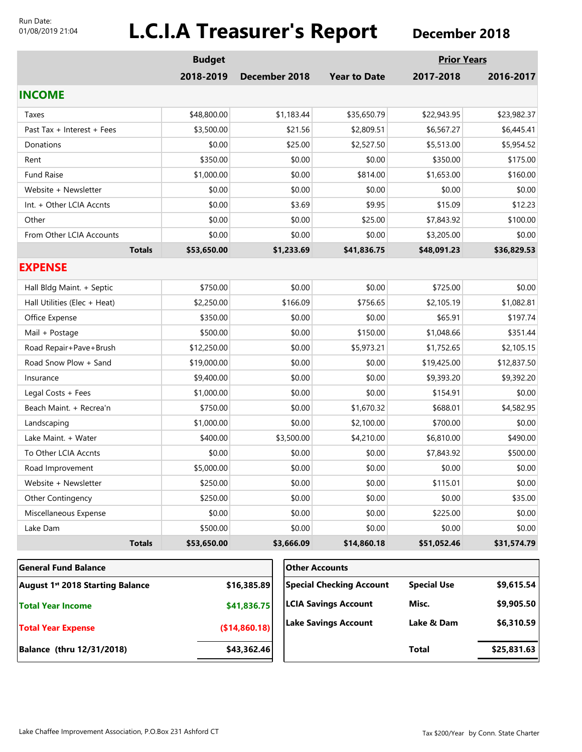#### Run Date: 01/08/2019 21:04

# **L.C.I.A Treasurer's Report** December 2018

|                                                 | <b>Budget</b> |                             |                                 | <b>Prior Years</b> |             |
|-------------------------------------------------|---------------|-----------------------------|---------------------------------|--------------------|-------------|
|                                                 | 2018-2019     | December 2018               | <b>Year to Date</b>             | 2017-2018          | 2016-2017   |
| <b>INCOME</b>                                   |               |                             |                                 |                    |             |
| Taxes                                           | \$48,800.00   | \$1,183.44                  | \$35,650.79                     | \$22,943.95        | \$23,982.37 |
| Past Tax + Interest + Fees                      | \$3,500.00    | \$21.56                     | \$2,809.51                      | \$6,567.27         | \$6,445.41  |
| Donations                                       | \$0.00        | \$25.00                     | \$2,527.50                      | \$5,513.00         | \$5,954.52  |
| Rent                                            | \$350.00      | \$0.00                      | \$0.00                          | \$350.00           | \$175.00    |
| <b>Fund Raise</b>                               | \$1,000.00    | \$0.00                      | \$814.00                        | \$1,653.00         | \$160.00    |
| Website + Newsletter                            | \$0.00        | \$0.00                      | \$0.00                          | \$0.00             | \$0.00      |
| Int. + Other LCIA Accnts                        | \$0.00        | \$3.69                      | \$9.95                          | \$15.09            | \$12.23     |
| Other                                           | \$0.00        | \$0.00                      | \$25.00                         | \$7,843.92         | \$100.00    |
| From Other LCIA Accounts                        | \$0.00        | \$0.00                      | \$0.00                          | \$3,205.00         | \$0.00      |
| <b>Totals</b>                                   | \$53,650.00   | \$1,233.69                  | \$41,836.75                     | \$48,091.23        | \$36,829.53 |
| <b>EXPENSE</b>                                  |               |                             |                                 |                    |             |
| Hall Bldg Maint. + Septic                       | \$750.00      | \$0.00                      | \$0.00                          | \$725.00           | \$0.00      |
| Hall Utilities (Elec + Heat)                    | \$2,250.00    | \$166.09                    | \$756.65                        | \$2,105.19         | \$1,082.81  |
| Office Expense                                  | \$350.00      | \$0.00                      | \$0.00                          | \$65.91            | \$197.74    |
| Mail + Postage                                  | \$500.00      | \$0.00                      | \$150.00                        | \$1,048.66         | \$351.44    |
| Road Repair+Pave+Brush                          | \$12,250.00   | \$0.00                      | \$5,973.21                      | \$1,752.65         | \$2,105.15  |
| Road Snow Plow + Sand                           | \$19,000.00   | \$0.00                      | \$0.00                          | \$19,425.00        | \$12,837.50 |
| Insurance                                       | \$9,400.00    | \$0.00                      | \$0.00                          | \$9,393.20         | \$9,392.20  |
| Legal Costs + Fees                              | \$1,000.00    | \$0.00                      | \$0.00                          | \$154.91           | \$0.00      |
| Beach Maint. + Recrea'n                         | \$750.00      | \$0.00                      | \$1,670.32                      | \$688.01           | \$4,582.95  |
| Landscaping                                     | \$1,000.00    | \$0.00                      | \$2,100.00                      | \$700.00           | \$0.00      |
| Lake Maint. + Water                             | \$400.00      | \$3,500.00                  | \$4,210.00                      | \$6,810.00         | \$490.00    |
| To Other LCIA Accnts                            | \$0.00        | \$0.00                      | \$0.00                          | \$7,843.92         | \$500.00    |
| Road Improvement                                | \$5,000.00    | \$0.00                      | \$0.00                          | \$0.00             | \$0.00      |
| Website + Newsletter                            | \$250.00      | \$0.00                      | \$0.00                          | \$115.01           | \$0.00      |
| Other Contingency                               | \$250.00      | \$0.00                      | \$0.00                          | \$0.00             | \$35.00     |
| Miscellaneous Expense                           | \$0.00        | \$0.00                      | \$0.00                          | \$225.00           | \$0.00      |
| Lake Dam                                        | \$500.00      | \$0.00                      | \$0.00                          | \$0.00             | \$0.00      |
| <b>Totals</b>                                   | \$53,650.00   | \$3,666.09                  | \$14,860.18                     | \$51,052.46        | \$31,574.79 |
| <b>General Fund Balance</b>                     |               |                             | <b>Other Accounts</b>           |                    |             |
| August 1st 2018 Starting Balance<br>\$16,385.89 |               |                             | <b>Special Checking Account</b> | <b>Special Use</b> | \$9,615.54  |
| <b>Total Year Income</b>                        | \$41,836.75   | <b>LCIA Savings Account</b> | Misc.                           | \$9,905.50         |             |

**(\$14,860.18)**

**Lake Savings Account**

**Balance (thru 12/31/2018) \$43,362.46**

**Total Year Expense**

**Total \$25,831.63**

**\$6,310.59**

**Lake & Dam**